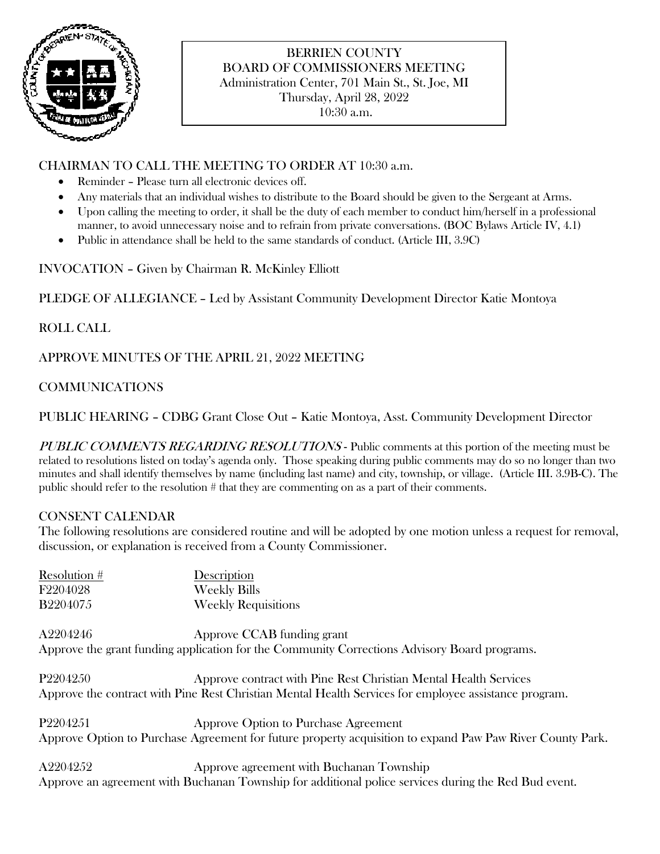

# BERRIEN COUNTY BOARD OF COMMISSIONERS MEETING Administration Center, 701 Main St., St. Joe, MI Thursday, April 28, 2022

10:30 a.m.

## CHAIRMAN TO CALL THE MEETING TO ORDER AT 10:30 a.m.

- Reminder Please turn all electronic devices off.
- Any materials that an individual wishes to distribute to the Board should be given to the Sergeant at Arms.
- Upon calling the meeting to order, it shall be the duty of each member to conduct him/herself in a professional manner, to avoid unnecessary noise and to refrain from private conversations. (BOC Bylaws Article IV, 4.1)
- Public in attendance shall be held to the same standards of conduct. (Article III, 3.9C)

INVOCATION – Given by Chairman R. McKinley Elliott

PLEDGE OF ALLEGIANCE – Led by Assistant Community Development Director Katie Montoya

# ROLL CALL

APPROVE MINUTES OF THE APRIL 21, 2022 MEETING

## COMMUNICATIONS

PUBLIC HEARING – CDBG Grant Close Out – Katie Montoya, Asst. Community Development Director

PUBLIC COMMENTS REGARDING RESOLUTIONS - Public comments at this portion of the meeting must be related to resolutions listed on today's agenda only. Those speaking during public comments may do so no longer than two minutes and shall identify themselves by name (including last name) and city, township, or village. (Article III. 3.9B-C). The public should refer to the resolution # that they are commenting on as a part of their comments.

## CONSENT CALENDAR

The following resolutions are considered routine and will be adopted by one motion unless a request for removal, discussion, or explanation is received from a County Commissioner.

| Resolution # | Description                                                                                               |
|--------------|-----------------------------------------------------------------------------------------------------------|
| F2204028     | <b>Weekly Bills</b>                                                                                       |
| B2204075     | <b>Weekly Requisitions</b>                                                                                |
| A2204246     | Approve CCAB funding grant                                                                                |
|              | Approve the grant funding application for the Community Corrections Advisory Board programs.              |
| P2204250     | Approve contract with Pine Rest Christian Mental Health Services                                          |
|              | Approve the contract with Pine Rest Christian Mental Health Services for employee assistance program.     |
| P2204251     | Approve Option to Purchase Agreement                                                                      |
|              | Approve Option to Purchase Agreement for future property acquisition to expand Paw Paw River County Park. |
| A2204252     | Approve agreement with Buchanan Township                                                                  |
|              | Approve an agreement with Buchanan Township for additional police services during the Red Bud event.      |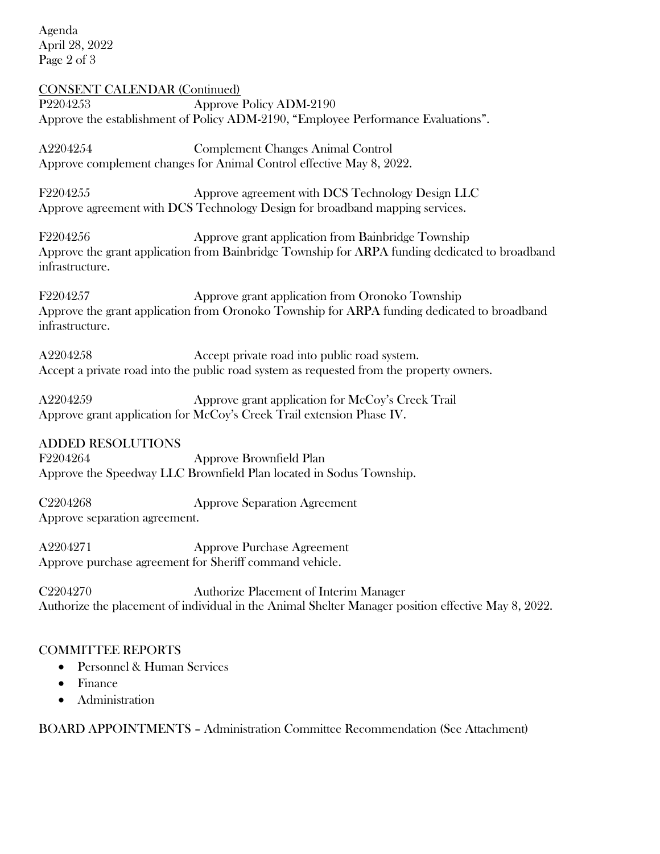Agenda April 28, 2022 Page 2 of 3

CONSENT CALENDAR (Continued) P2204253 Approve Policy ADM-2190 Approve the establishment of Policy ADM-2190, "Employee Performance Evaluations".

A2204254 Complement Changes Animal Control Approve complement changes for Animal Control effective May 8, 2022.

F2204255 Approve agreement with DCS Technology Design LLC Approve agreement with DCS Technology Design for broadband mapping services.

F2204256 Approve grant application from Bainbridge Township Approve the grant application from Bainbridge Township for ARPA funding dedicated to broadband infrastructure.

F2204257 Approve grant application from Oronoko Township Approve the grant application from Oronoko Township for ARPA funding dedicated to broadband infrastructure.

A2204258 Accept private road into public road system. Accept a private road into the public road system as requested from the property owners.

A2204259 Approve grant application for McCoy's Creek Trail Approve grant application for McCoy's Creek Trail extension Phase IV.

ADDED RESOLUTIONS

F2204264 Approve Brownfield Plan Approve the Speedway LLC Brownfield Plan located in Sodus Township.

C2204268 Approve Separation Agreement Approve separation agreement.

A2204271 Approve Purchase Agreement Approve purchase agreement for Sheriff command vehicle.

C2204270 Authorize Placement of Interim Manager Authorize the placement of individual in the Animal Shelter Manager position effective May 8, 2022.

## COMMITTEE REPORTS

- Personnel & Human Services
- Finance
- Administration

BOARD APPOINTMENTS – Administration Committee Recommendation (See Attachment)